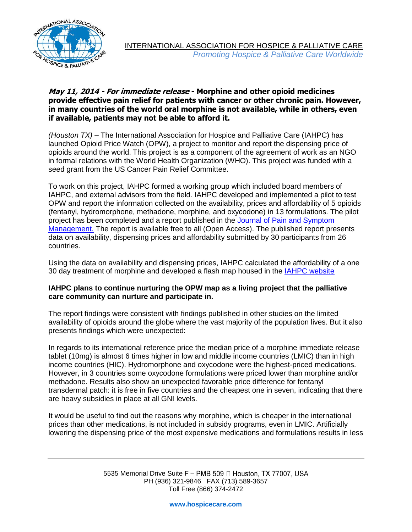

## **May 11, 2014 - For immediate release - Morphine and other opioid medicines provide effective pain relief for patients with cancer or other chronic pain. However, in many countries of the world oral morphine is not available, while in others, even if available, patients may not be able to afford it.**

*(Houston TX)* – The International Association for Hospice and Palliative Care (IAHPC) has launched Opioid Price Watch (OPW), a project to monitor and report the dispensing price of opioids around the world. This project is as a component of the agreement of work as an NGO in formal relations with the World Health Organization (WHO). This project was funded with a seed grant from the US Cancer Pain Relief Committee.

To work on this project, IAHPC formed a working group which included board members of IAHPC, and external advisors from the field. IAHPC developed and implemented a pilot to test OPW and report the information collected on the availability, prices and affordability of 5 opioids (fentanyl, hydromorphone, methadone, morphine, and oxycodone) in 13 formulations. The pilot project has been completed and a report published in the Journal of Pain and Symptom [Management.](http://www.jpsmjournal.com/article/S0885-3924%2814%2900146-8/abstract) The report is available free to all (Open Access). The published report presents data on availability, dispensing prices and affordability submitted by 30 participants from 26 countries.

Using the data on availability and dispensing prices, IAHPC calculated the affordability of a one 30 day treatment of morphine and developed a flash map housed in the [IAHPC website](http://hospicecare.com/about-iahpc/projects/opioid-price-watch/)

## **IAHPC plans to continue nurturing the OPW map as a living project that the palliative care community can nurture and participate in.**

The report findings were consistent with findings published in other studies on the limited availability of opioids around the globe where the vast majority of the population lives. But it also presents findings which were unexpected:

In regards to its international reference price the median price of a morphine immediate release tablet (10mg) is almost 6 times higher in low and middle income countries (LMIC) than in high income countries (HIC). Hydromorphone and oxycodone were the highest-priced medications. However, in 3 countries some oxycodone formulations were priced lower than morphine and/or methadone. Results also show an unexpected favorable price difference for fentanyl transdermal patch: it is free in five countries and the cheapest one in seven, indicating that there are heavy subsidies in place at all GNI levels.

It would be useful to find out the reasons why morphine, which is cheaper in the international prices than other medications, is not included in subsidy programs, even in LMIC. Artificially lowering the dispensing price of the most expensive medications and formulations results in less

> 5535 Memorial Drive Suite F - PMB 509 □ Houston, TX 77007, USA PH (936) 321-9846 FAX (713) 589-3657 Toll Free (866) 374-2472